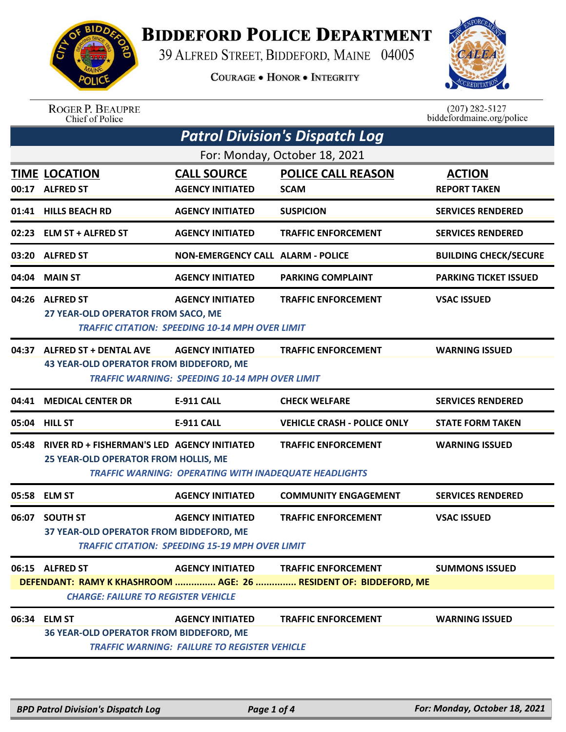

## **BIDDEFORD POLICE DEPARTMENT**

39 ALFRED STREET, BIDDEFORD, MAINE 04005

**COURAGE . HONOR . INTEGRITY** 



ROGER P. BEAUPRE<br>Chief of Police

 $(207)$  282-5127<br>biddefordmaine.org/police

| <b>Patrol Division's Dispatch Log</b> |                                                                                                                |                                                                                   |                                          |                                      |  |  |
|---------------------------------------|----------------------------------------------------------------------------------------------------------------|-----------------------------------------------------------------------------------|------------------------------------------|--------------------------------------|--|--|
| For: Monday, October 18, 2021         |                                                                                                                |                                                                                   |                                          |                                      |  |  |
|                                       | <b>TIME LOCATION</b><br>00:17 ALFRED ST                                                                        | <b>CALL SOURCE</b><br><b>AGENCY INITIATED</b>                                     | <b>POLICE CALL REASON</b><br><b>SCAM</b> | <b>ACTION</b><br><b>REPORT TAKEN</b> |  |  |
|                                       | 01:41 HILLS BEACH RD                                                                                           | <b>AGENCY INITIATED</b>                                                           | <b>SUSPICION</b>                         | <b>SERVICES RENDERED</b>             |  |  |
|                                       | 02:23 ELM ST + ALFRED ST                                                                                       | <b>AGENCY INITIATED</b>                                                           | <b>TRAFFIC ENFORCEMENT</b>               | <b>SERVICES RENDERED</b>             |  |  |
| 03:20                                 | <b>ALFRED ST</b>                                                                                               | <b>NON-EMERGENCY CALL ALARM - POLICE</b>                                          |                                          | <b>BUILDING CHECK/SECURE</b>         |  |  |
|                                       | 04:04 MAIN ST                                                                                                  | <b>AGENCY INITIATED</b>                                                           | <b>PARKING COMPLAINT</b>                 | <b>PARKING TICKET ISSUED</b>         |  |  |
| 04:26                                 | <b>ALFRED ST</b><br>27 YEAR-OLD OPERATOR FROM SACO, ME                                                         | <b>AGENCY INITIATED</b><br><b>TRAFFIC CITATION: SPEEDING 10-14 MPH OVER LIMIT</b> | <b>TRAFFIC ENFORCEMENT</b>               | <b>VSAC ISSUED</b>                   |  |  |
|                                       | 04:37 ALFRED ST + DENTAL AVE<br>43 YEAR-OLD OPERATOR FROM BIDDEFORD, ME                                        | <b>AGENCY INITIATED</b><br><b>TRAFFIC WARNING: SPEEDING 10-14 MPH OVER LIMIT</b>  | <b>TRAFFIC ENFORCEMENT</b>               | <b>WARNING ISSUED</b>                |  |  |
| 04:41                                 | <b>MEDICAL CENTER DR</b>                                                                                       | <b>E-911 CALL</b>                                                                 | <b>CHECK WELFARE</b>                     | <b>SERVICES RENDERED</b>             |  |  |
|                                       | 05:04 HILL ST                                                                                                  | <b>E-911 CALL</b>                                                                 | <b>VEHICLE CRASH - POLICE ONLY</b>       | <b>STATE FORM TAKEN</b>              |  |  |
| 05:48                                 | RIVER RD + FISHERMAN'S LED AGENCY INITIATED<br>25 YEAR-OLD OPERATOR FROM HOLLIS, ME                            | TRAFFIC WARNING: OPERATING WITH INADEQUATE HEADLIGHTS                             | <b>TRAFFIC ENFORCEMENT</b>               | <b>WARNING ISSUED</b>                |  |  |
| 05:58                                 | <b>ELM ST</b>                                                                                                  | <b>AGENCY INITIATED</b>                                                           | <b>COMMUNITY ENGAGEMENT</b>              | <b>SERVICES RENDERED</b>             |  |  |
| 06:07                                 | <b>SOUTH ST</b><br>37 YEAR-OLD OPERATOR FROM BIDDEFORD, ME                                                     | <b>AGENCY INITIATED</b><br>TRAFFIC CITATION: SPEEDING 15-19 MPH OVER LIMIT        | <b>TRAFFIC ENFORCEMENT</b>               | <b>VSAC ISSUED</b>                   |  |  |
|                                       | 06:15 ALFRED ST                                                                                                | <b>AGENCY INITIATED</b>                                                           | <b>TRAFFIC ENFORCEMENT</b>               | <b>SUMMONS ISSUED</b>                |  |  |
|                                       | DEFENDANT: RAMY K KHASHROOM  AGE: 26  RESIDENT OF: BIDDEFORD, ME<br><b>CHARGE: FAILURE TO REGISTER VEHICLE</b> |                                                                                   |                                          |                                      |  |  |
|                                       | 06:34 ELM ST<br>36 YEAR-OLD OPERATOR FROM BIDDEFORD, ME                                                        | <b>AGENCY INITIATED</b><br><b>TRAFFIC WARNING: FAILURE TO REGISTER VEHICLE</b>    | <b>TRAFFIC ENFORCEMENT</b>               | <b>WARNING ISSUED</b>                |  |  |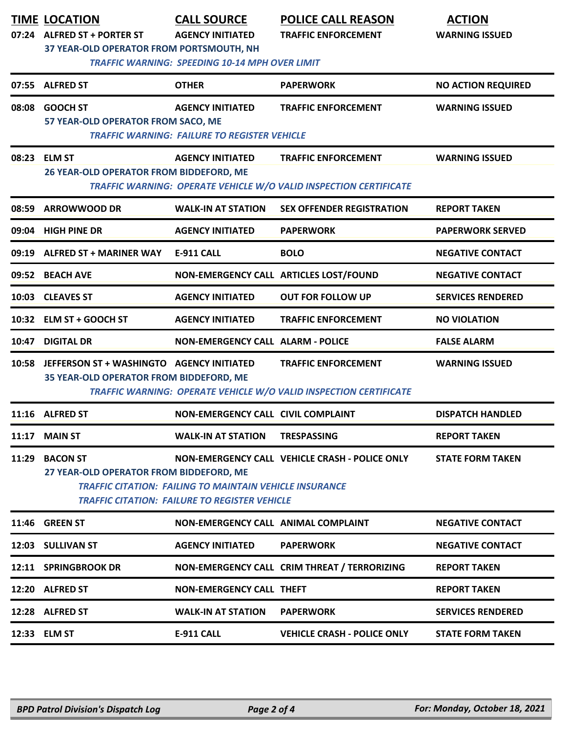|       | <b>TIME LOCATION</b><br>07:24 ALFRED ST + PORTER ST                                                                                                                                                                                                               | <b>CALL SOURCE</b><br><b>AGENCY INITIATED</b>       | <b>POLICE CALL REASON</b><br><b>TRAFFIC ENFORCEMENT</b>           | <b>ACTION</b><br><b>WARNING ISSUED</b> |  |  |
|-------|-------------------------------------------------------------------------------------------------------------------------------------------------------------------------------------------------------------------------------------------------------------------|-----------------------------------------------------|-------------------------------------------------------------------|----------------------------------------|--|--|
|       | <b>37 YEAR-OLD OPERATOR FROM PORTSMOUTH, NH</b><br><b>TRAFFIC WARNING: SPEEDING 10-14 MPH OVER LIMIT</b>                                                                                                                                                          |                                                     |                                                                   |                                        |  |  |
|       | 07:55 ALFRED ST                                                                                                                                                                                                                                                   | <b>OTHER</b>                                        | <b>PAPERWORK</b>                                                  | <b>NO ACTION REQUIRED</b>              |  |  |
|       | 08:08 GOOCH ST                                                                                                                                                                                                                                                    | <b>AGENCY INITIATED</b>                             | <b>TRAFFIC ENFORCEMENT</b>                                        | <b>WARNING ISSUED</b>                  |  |  |
|       | 57 YEAR-OLD OPERATOR FROM SACO, ME                                                                                                                                                                                                                                | <b>TRAFFIC WARNING: FAILURE TO REGISTER VEHICLE</b> |                                                                   |                                        |  |  |
|       | 08:23 ELM ST                                                                                                                                                                                                                                                      | <b>AGENCY INITIATED</b>                             | <b>TRAFFIC ENFORCEMENT</b>                                        | <b>WARNING ISSUED</b>                  |  |  |
|       | 26 YEAR-OLD OPERATOR FROM BIDDEFORD, ME<br><b>TRAFFIC WARNING: OPERATE VEHICLE W/O VALID INSPECTION CERTIFICATE</b>                                                                                                                                               |                                                     |                                                                   |                                        |  |  |
| 08:59 | <b>ARROWWOOD DR</b>                                                                                                                                                                                                                                               | <b>WALK-IN AT STATION</b>                           | <b>SEX OFFENDER REGISTRATION</b>                                  | <b>REPORT TAKEN</b>                    |  |  |
| 09:04 | <b>HIGH PINE DR</b>                                                                                                                                                                                                                                               | <b>AGENCY INITIATED</b>                             | <b>PAPERWORK</b>                                                  | <b>PAPERWORK SERVED</b>                |  |  |
| 09:19 | <b>ALFRED ST + MARINER WAY</b>                                                                                                                                                                                                                                    | <b>E-911 CALL</b>                                   | <b>BOLO</b>                                                       | <b>NEGATIVE CONTACT</b>                |  |  |
| 09:52 | <b>BEACH AVE</b>                                                                                                                                                                                                                                                  |                                                     | NON-EMERGENCY CALL ARTICLES LOST/FOUND                            | <b>NEGATIVE CONTACT</b>                |  |  |
| 10:03 | <b>CLEAVES ST</b>                                                                                                                                                                                                                                                 | <b>AGENCY INITIATED</b>                             | <b>OUT FOR FOLLOW UP</b>                                          | <b>SERVICES RENDERED</b>               |  |  |
| 10:32 | ELM ST + GOOCH ST                                                                                                                                                                                                                                                 | <b>AGENCY INITIATED</b>                             | <b>TRAFFIC ENFORCEMENT</b>                                        | <b>NO VIOLATION</b>                    |  |  |
| 10:47 | <b>DIGITAL DR</b>                                                                                                                                                                                                                                                 | <b>NON-EMERGENCY CALL ALARM - POLICE</b>            |                                                                   | <b>FALSE ALARM</b>                     |  |  |
|       | 10:58 JEFFERSON ST + WASHINGTO AGENCY INITIATED                                                                                                                                                                                                                   |                                                     | <b>TRAFFIC ENFORCEMENT</b>                                        | <b>WARNING ISSUED</b>                  |  |  |
|       | 35 YEAR-OLD OPERATOR FROM BIDDEFORD, ME                                                                                                                                                                                                                           |                                                     | TRAFFIC WARNING: OPERATE VEHICLE W/O VALID INSPECTION CERTIFICATE |                                        |  |  |
|       | 11:16 ALFRED ST                                                                                                                                                                                                                                                   | <b>NON-EMERGENCY CALL CIVIL COMPLAINT</b>           |                                                                   | <b>DISPATCH HANDLED</b>                |  |  |
| 11:17 | <b>MAIN ST</b>                                                                                                                                                                                                                                                    | <b>WALK-IN AT STATION</b>                           | <b>TRESPASSING</b>                                                | <b>REPORT TAKEN</b>                    |  |  |
| 11:29 | <b>BACON ST</b><br>NON-EMERGENCY CALL VEHICLE CRASH - POLICE ONLY<br><b>STATE FORM TAKEN</b><br>27 YEAR-OLD OPERATOR FROM BIDDEFORD, ME<br><b>TRAFFIC CITATION: FAILING TO MAINTAIN VEHICLE INSURANCE</b><br><b>TRAFFIC CITATION: FAILURE TO REGISTER VEHICLE</b> |                                                     |                                                                   |                                        |  |  |
|       | 11:46 GREEN ST                                                                                                                                                                                                                                                    | <b>NON-EMERGENCY CALL ANIMAL COMPLAINT</b>          |                                                                   | <b>NEGATIVE CONTACT</b>                |  |  |
|       | 12:03 SULLIVAN ST                                                                                                                                                                                                                                                 | <b>AGENCY INITIATED</b>                             | <b>PAPERWORK</b>                                                  | <b>NEGATIVE CONTACT</b>                |  |  |
|       |                                                                                                                                                                                                                                                                   |                                                     |                                                                   |                                        |  |  |
|       | 12:11 SPRINGBROOK DR                                                                                                                                                                                                                                              |                                                     | NON-EMERGENCY CALL CRIM THREAT / TERRORIZING                      | <b>REPORT TAKEN</b>                    |  |  |
|       | 12:20 ALFRED ST                                                                                                                                                                                                                                                   | <b>NON-EMERGENCY CALL THEFT</b>                     |                                                                   | <b>REPORT TAKEN</b>                    |  |  |
|       | 12:28 ALFRED ST                                                                                                                                                                                                                                                   | <b>WALK-IN AT STATION</b>                           | <b>PAPERWORK</b>                                                  | <b>SERVICES RENDERED</b>               |  |  |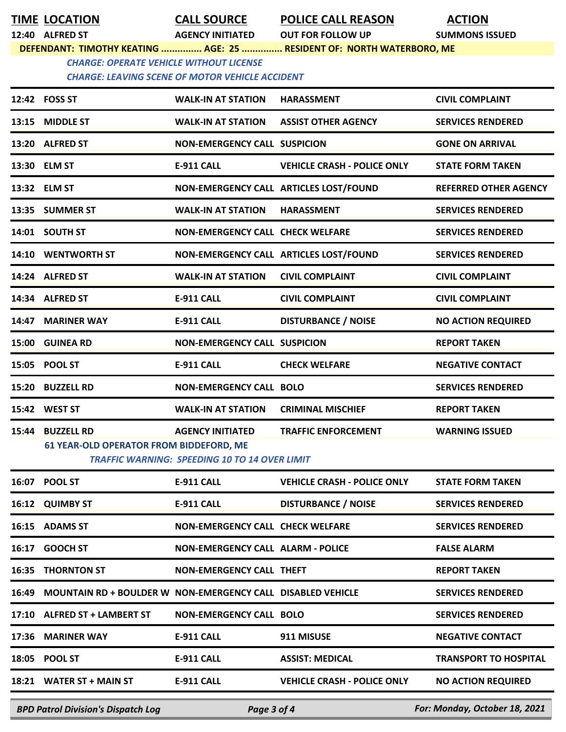**TIME LOCATION CALL SOURCE POLICE CALL REASON ACTION**

**12:40 ALFRED ST AGENCY INITIATED OUT FOR FOLLOW UP SUMMONS ISSUED**

**DEFENDANT: TIMOTHY KEATING ............... AGE: 25 ............... RESIDENT OF: NORTH WATERBORO, ME**

*CHARGE: OPERATE VEHICLE WITHOUT LICENSE CHARGE: LEAVING SCENE OF MOTOR VEHICLE ACCIDENT* 

|                                                          | 12:42 FOSS ST                                                       | <b>WALK-IN AT STATION</b>                                                       | <b>HARASSMENT</b>                      | <b>CIVIL COMPLAINT</b>        |
|----------------------------------------------------------|---------------------------------------------------------------------|---------------------------------------------------------------------------------|----------------------------------------|-------------------------------|
| 13:15                                                    | <b>MIDDLE ST</b>                                                    | <b>WALK-IN AT STATION</b>                                                       | <b>ASSIST OTHER AGENCY</b>             | <b>SERVICES RENDERED</b>      |
|                                                          | 13:20 ALFRED ST                                                     | <b>NON-EMERGENCY CALL SUSPICION</b>                                             |                                        | <b>GONE ON ARRIVAL</b>        |
|                                                          | 13:30 ELM ST                                                        | E-911 CALL                                                                      | <b>VEHICLE CRASH - POLICE ONLY</b>     | <b>STATE FORM TAKEN</b>       |
|                                                          | 13:32 ELM ST                                                        |                                                                                 | NON-EMERGENCY CALL ARTICLES LOST/FOUND | <b>REFERRED OTHER AGENCY</b>  |
|                                                          | 13:35 SUMMER ST                                                     | <b>WALK-IN AT STATION</b>                                                       | <b>HARASSMENT</b>                      | <b>SERVICES RENDERED</b>      |
|                                                          | 14:01 SOUTH ST                                                      | <b>NON-EMERGENCY CALL CHECK WELFARE</b>                                         |                                        | <b>SERVICES RENDERED</b>      |
|                                                          | 14:10 WENTWORTH ST                                                  |                                                                                 | NON-EMERGENCY CALL ARTICLES LOST/FOUND | <b>SERVICES RENDERED</b>      |
|                                                          | 14:24 ALFRED ST                                                     | <b>WALK-IN AT STATION</b>                                                       | <b>CIVIL COMPLAINT</b>                 | <b>CIVIL COMPLAINT</b>        |
|                                                          | 14:34 ALFRED ST                                                     | <b>E-911 CALL</b>                                                               | <b>CIVIL COMPLAINT</b>                 | <b>CIVIL COMPLAINT</b>        |
| 14:47                                                    | <b>MARINER WAY</b>                                                  | <b>E-911 CALL</b>                                                               | <b>DISTURBANCE / NOISE</b>             | <b>NO ACTION REQUIRED</b>     |
| 15:00                                                    | <b>GUINEA RD</b>                                                    | <b>NON-EMERGENCY CALL SUSPICION</b>                                             |                                        | <b>REPORT TAKEN</b>           |
| 15:05                                                    | <b>POOL ST</b>                                                      | <b>E-911 CALL</b>                                                               | <b>CHECK WELFARE</b>                   | <b>NEGATIVE CONTACT</b>       |
| 15:20                                                    | <b>BUZZELL RD</b>                                                   | <b>NON-EMERGENCY CALL BOLO</b>                                                  |                                        | <b>SERVICES RENDERED</b>      |
| 15:42                                                    | <b>WEST ST</b>                                                      | <b>WALK-IN AT STATION</b>                                                       | <b>CRIMINAL MISCHIEF</b>               | <b>REPORT TAKEN</b>           |
| 15:44                                                    | <b>BUZZELL RD</b><br><b>61 YEAR-OLD OPERATOR FROM BIDDEFORD, ME</b> | <b>AGENCY INITIATED</b><br><b>TRAFFIC WARNING: SPEEDING 10 TO 14 OVER LIMIT</b> | <b>TRAFFIC ENFORCEMENT</b>             | <b>WARNING ISSUED</b>         |
| 16:07                                                    | <b>POOL ST</b>                                                      | <b>E-911 CALL</b>                                                               | <b>VEHICLE CRASH - POLICE ONLY</b>     | <b>STATE FORM TAKEN</b>       |
|                                                          | 16:12 QUIMBY ST                                                     | <b>E-911 CALL</b>                                                               | <b>DISTURBANCE / NOISE</b>             | <b>SERVICES RENDERED</b>      |
|                                                          | 16:15 ADAMS ST                                                      | <b>NON-EMERGENCY CALL CHECK WELFARE</b>                                         |                                        | <b>SERVICES RENDERED</b>      |
| 16:17                                                    | <b>GOOCH ST</b>                                                     | <b>NON-EMERGENCY CALL ALARM - POLICE</b>                                        |                                        | <b>FALSE ALARM</b>            |
| 16:35                                                    | <b>THORNTON ST</b>                                                  | <b>NON-EMERGENCY CALL THEFT</b>                                                 |                                        | <b>REPORT TAKEN</b>           |
| 16:49                                                    | <b>MOUNTAIN RD + BOULDER W NON-EMERGENCY CALL DISABLED VEHICLE</b>  |                                                                                 |                                        | <b>SERVICES RENDERED</b>      |
|                                                          | 17:10 ALFRED ST + LAMBERT ST                                        | <b>NON-EMERGENCY CALL BOLO</b>                                                  |                                        | <b>SERVICES RENDERED</b>      |
| 17:36                                                    | <b>MARINER WAY</b>                                                  | E-911 CALL                                                                      | 911 MISUSE                             | <b>NEGATIVE CONTACT</b>       |
| 18:05                                                    | <b>POOL ST</b>                                                      | E-911 CALL                                                                      | <b>ASSIST: MEDICAL</b>                 | <b>TRANSPORT TO HOSPITAL</b>  |
|                                                          | 18:21 WATER ST + MAIN ST                                            | E-911 CALL                                                                      | <b>VEHICLE CRASH - POLICE ONLY</b>     | <b>NO ACTION REQUIRED</b>     |
| <b>BPD Patrol Division's Dispatch Log</b><br>Page 3 of 4 |                                                                     |                                                                                 |                                        | For: Monday, October 18, 2021 |